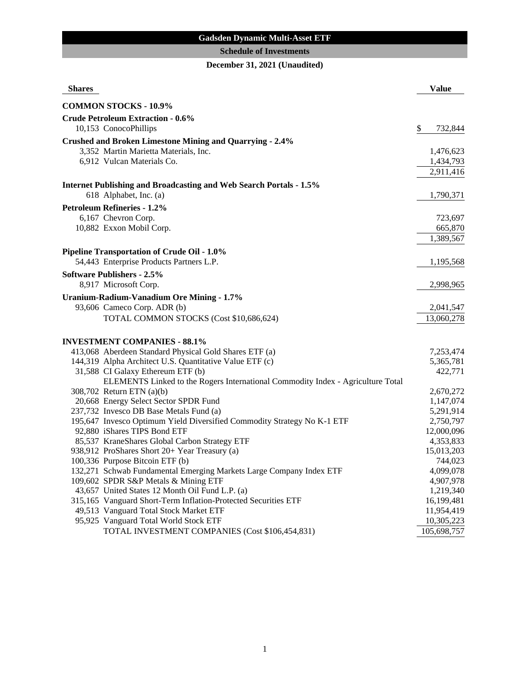# **Gadsden Dynamic Multi-Asset ETF**

## **Schedule of Investments**

# **December 31, 2021 (Unaudited)**

| <b>COMMON STOCKS - 10.9%</b><br><b>Crude Petroleum Extraction - 0.6%</b><br>10,153 ConocoPhillips<br>\$<br>732,844<br><b>Crushed and Broken Limestone Mining and Quarrying - 2.4%</b><br>3,352 Martin Marietta Materials, Inc.<br>1,476,623<br>6,912 Vulcan Materials Co.<br>1,434,793<br>2,911,416<br><b>Internet Publishing and Broadcasting and Web Search Portals - 1.5%</b><br>618 Alphabet, Inc. (a)<br>1,790,371<br><b>Petroleum Refineries - 1.2%</b><br>6,167 Chevron Corp.<br>723,697<br>10,882 Exxon Mobil Corp.<br>665,870<br>1,389,567<br><b>Pipeline Transportation of Crude Oil - 1.0%</b><br>54,443 Enterprise Products Partners L.P.<br>1,195,568<br><b>Software Publishers - 2.5%</b><br>8,917 Microsoft Corp.<br>2,998,965<br>Uranium-Radium-Vanadium Ore Mining - 1.7%<br>93,606 Cameco Corp. ADR (b)<br>2,041,547<br>TOTAL COMMON STOCKS (Cost \$10,686,624)<br>13,060,278 |
|-------------------------------------------------------------------------------------------------------------------------------------------------------------------------------------------------------------------------------------------------------------------------------------------------------------------------------------------------------------------------------------------------------------------------------------------------------------------------------------------------------------------------------------------------------------------------------------------------------------------------------------------------------------------------------------------------------------------------------------------------------------------------------------------------------------------------------------------------------------------------------------------------|
|                                                                                                                                                                                                                                                                                                                                                                                                                                                                                                                                                                                                                                                                                                                                                                                                                                                                                                 |
|                                                                                                                                                                                                                                                                                                                                                                                                                                                                                                                                                                                                                                                                                                                                                                                                                                                                                                 |
|                                                                                                                                                                                                                                                                                                                                                                                                                                                                                                                                                                                                                                                                                                                                                                                                                                                                                                 |
|                                                                                                                                                                                                                                                                                                                                                                                                                                                                                                                                                                                                                                                                                                                                                                                                                                                                                                 |
|                                                                                                                                                                                                                                                                                                                                                                                                                                                                                                                                                                                                                                                                                                                                                                                                                                                                                                 |
|                                                                                                                                                                                                                                                                                                                                                                                                                                                                                                                                                                                                                                                                                                                                                                                                                                                                                                 |
|                                                                                                                                                                                                                                                                                                                                                                                                                                                                                                                                                                                                                                                                                                                                                                                                                                                                                                 |
|                                                                                                                                                                                                                                                                                                                                                                                                                                                                                                                                                                                                                                                                                                                                                                                                                                                                                                 |
|                                                                                                                                                                                                                                                                                                                                                                                                                                                                                                                                                                                                                                                                                                                                                                                                                                                                                                 |
|                                                                                                                                                                                                                                                                                                                                                                                                                                                                                                                                                                                                                                                                                                                                                                                                                                                                                                 |
|                                                                                                                                                                                                                                                                                                                                                                                                                                                                                                                                                                                                                                                                                                                                                                                                                                                                                                 |
|                                                                                                                                                                                                                                                                                                                                                                                                                                                                                                                                                                                                                                                                                                                                                                                                                                                                                                 |
|                                                                                                                                                                                                                                                                                                                                                                                                                                                                                                                                                                                                                                                                                                                                                                                                                                                                                                 |
|                                                                                                                                                                                                                                                                                                                                                                                                                                                                                                                                                                                                                                                                                                                                                                                                                                                                                                 |
|                                                                                                                                                                                                                                                                                                                                                                                                                                                                                                                                                                                                                                                                                                                                                                                                                                                                                                 |
|                                                                                                                                                                                                                                                                                                                                                                                                                                                                                                                                                                                                                                                                                                                                                                                                                                                                                                 |
|                                                                                                                                                                                                                                                                                                                                                                                                                                                                                                                                                                                                                                                                                                                                                                                                                                                                                                 |
|                                                                                                                                                                                                                                                                                                                                                                                                                                                                                                                                                                                                                                                                                                                                                                                                                                                                                                 |
|                                                                                                                                                                                                                                                                                                                                                                                                                                                                                                                                                                                                                                                                                                                                                                                                                                                                                                 |
|                                                                                                                                                                                                                                                                                                                                                                                                                                                                                                                                                                                                                                                                                                                                                                                                                                                                                                 |
|                                                                                                                                                                                                                                                                                                                                                                                                                                                                                                                                                                                                                                                                                                                                                                                                                                                                                                 |
| <b>INVESTMENT COMPANIES - 88.1%</b>                                                                                                                                                                                                                                                                                                                                                                                                                                                                                                                                                                                                                                                                                                                                                                                                                                                             |
| 413,068 Aberdeen Standard Physical Gold Shares ETF (a)<br>7,253,474                                                                                                                                                                                                                                                                                                                                                                                                                                                                                                                                                                                                                                                                                                                                                                                                                             |
| 144,319 Alpha Architect U.S. Quantitative Value ETF (c)<br>5,365,781                                                                                                                                                                                                                                                                                                                                                                                                                                                                                                                                                                                                                                                                                                                                                                                                                            |
| 31,588 CI Galaxy Ethereum ETF (b)<br>422,771                                                                                                                                                                                                                                                                                                                                                                                                                                                                                                                                                                                                                                                                                                                                                                                                                                                    |
| ELEMENTS Linked to the Rogers International Commodity Index - Agriculture Total                                                                                                                                                                                                                                                                                                                                                                                                                                                                                                                                                                                                                                                                                                                                                                                                                 |
| 308,702 Return ETN (a)(b)<br>2,670,272                                                                                                                                                                                                                                                                                                                                                                                                                                                                                                                                                                                                                                                                                                                                                                                                                                                          |
| 20,668 Energy Select Sector SPDR Fund<br>1,147,074                                                                                                                                                                                                                                                                                                                                                                                                                                                                                                                                                                                                                                                                                                                                                                                                                                              |
| 237,732 Invesco DB Base Metals Fund (a)<br>5,291,914                                                                                                                                                                                                                                                                                                                                                                                                                                                                                                                                                                                                                                                                                                                                                                                                                                            |
| 195,647 Invesco Optimum Yield Diversified Commodity Strategy No K-1 ETF<br>2,750,797                                                                                                                                                                                                                                                                                                                                                                                                                                                                                                                                                                                                                                                                                                                                                                                                            |
| 92,880 iShares TIPS Bond ETF<br>12,000,096                                                                                                                                                                                                                                                                                                                                                                                                                                                                                                                                                                                                                                                                                                                                                                                                                                                      |
| 85,537 KraneShares Global Carbon Strategy ETF<br>4,353,833                                                                                                                                                                                                                                                                                                                                                                                                                                                                                                                                                                                                                                                                                                                                                                                                                                      |
| 938,912 ProShares Short 20+ Year Treasury (a)<br>15,013,203                                                                                                                                                                                                                                                                                                                                                                                                                                                                                                                                                                                                                                                                                                                                                                                                                                     |
| 100,336 Purpose Bitcoin ETF (b)<br>744,023                                                                                                                                                                                                                                                                                                                                                                                                                                                                                                                                                                                                                                                                                                                                                                                                                                                      |
| 132,271 Schwab Fundamental Emerging Markets Large Company Index ETF<br>4,099,078                                                                                                                                                                                                                                                                                                                                                                                                                                                                                                                                                                                                                                                                                                                                                                                                                |
| 4,907,978<br>109,602 SPDR S&P Metals & Mining ETF<br>1,219,340                                                                                                                                                                                                                                                                                                                                                                                                                                                                                                                                                                                                                                                                                                                                                                                                                                  |
| 43,657 United States 12 Month Oil Fund L.P. (a)<br>315,165 Vanguard Short-Term Inflation-Protected Securities ETF<br>16,199,481                                                                                                                                                                                                                                                                                                                                                                                                                                                                                                                                                                                                                                                                                                                                                                 |
| 11,954,419<br>49,513 Vanguard Total Stock Market ETF                                                                                                                                                                                                                                                                                                                                                                                                                                                                                                                                                                                                                                                                                                                                                                                                                                            |
| 95,925 Vanguard Total World Stock ETF<br>10,305,223                                                                                                                                                                                                                                                                                                                                                                                                                                                                                                                                                                                                                                                                                                                                                                                                                                             |
| 105,698,757<br>TOTAL INVESTMENT COMPANIES (Cost \$106,454,831)                                                                                                                                                                                                                                                                                                                                                                                                                                                                                                                                                                                                                                                                                                                                                                                                                                  |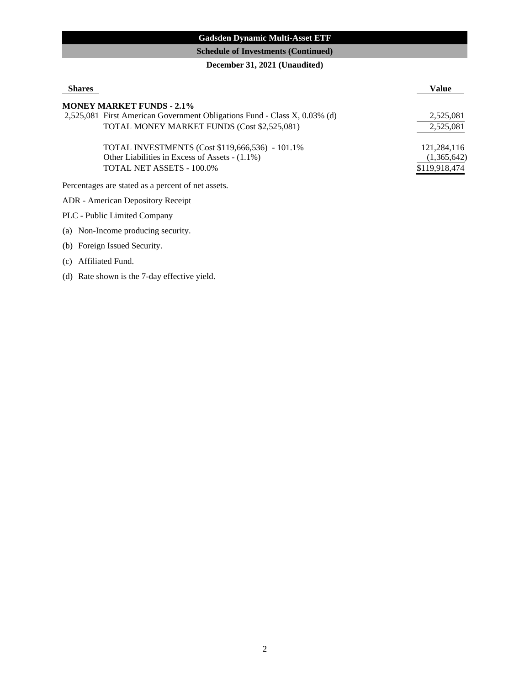## **Gadsden Dynamic Multi-Asset ETF**

## **Schedule of Investments (Continued)**

## **December 31, 2021 (Unaudited)**

| <b>Shares</b>                                                             | <b>Value</b>  |
|---------------------------------------------------------------------------|---------------|
| <b>MONEY MARKET FUNDS - 2.1%</b>                                          |               |
| 2,525,081 First American Government Obligations Fund - Class X, 0.03% (d) | 2,525,081     |
| TOTAL MONEY MARKET FUNDS (Cost \$2,525,081)                               | 2,525,081     |
| TOTAL INVESTMENTS (Cost \$119,666,536) - 101.1%                           | 121,284,116   |
| Other Liabilities in Excess of Assets - (1.1%)                            | (1,365,642)   |
| TOTAL NET ASSETS - 100.0%                                                 | \$119,918,474 |
| Percentages are stated as a percent of net assets.                        |               |
| ADR - American Depository Receipt                                         |               |

PLC - Public Limited Company

(a) Non-Income producing security.

(b) Foreign Issued Security.

(c) Affiliated Fund.

(d) Rate shown is the 7-day effective yield.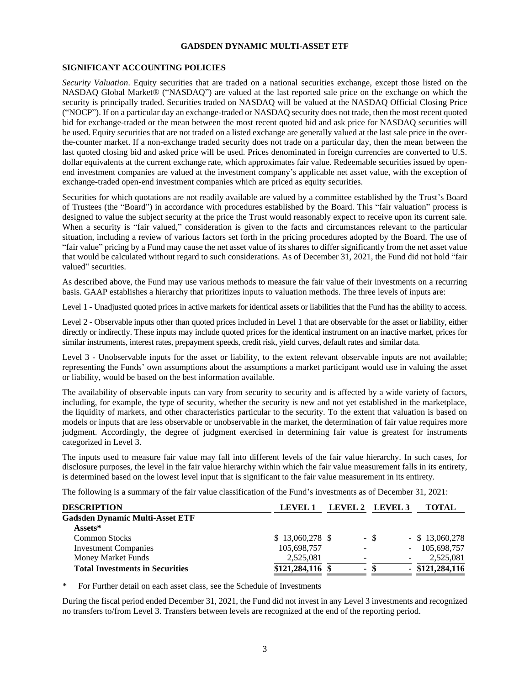#### **GADSDEN DYNAMIC MULTI-ASSET ETF**

#### **SIGNIFICANT ACCOUNTING POLICIES**

*Security Valuation*. Equity securities that are traded on a national securities exchange, except those listed on the NASDAQ Global Market® ("NASDAQ") are valued at the last reported sale price on the exchange on which the security is principally traded. Securities traded on NASDAQ will be valued at the NASDAQ Official Closing Price ("NOCP"). If on a particular day an exchange-traded or NASDAQ security does not trade, then the most recent quoted bid for exchange-traded or the mean between the most recent quoted bid and ask price for NASDAQ securities will be used. Equity securities that are not traded on a listed exchange are generally valued at the last sale price in the overthe-counter market. If a non-exchange traded security does not trade on a particular day, then the mean between the last quoted closing bid and asked price will be used. Prices denominated in foreign currencies are converted to U.S. dollar equivalents at the current exchange rate, which approximates fair value. Redeemable securities issued by openend investment companies are valued at the investment company's applicable net asset value, with the exception of exchange-traded open-end investment companies which are priced as equity securities.

Securities for which quotations are not readily available are valued by a committee established by the Trust's Board of Trustees (the "Board") in accordance with procedures established by the Board. This "fair valuation" process is designed to value the subject security at the price the Trust would reasonably expect to receive upon its current sale. When a security is "fair valued," consideration is given to the facts and circumstances relevant to the particular situation, including a review of various factors set forth in the pricing procedures adopted by the Board. The use of "fair value" pricing by a Fund may cause the net asset value of its shares to differ significantly from the net asset value that would be calculated without regard to such considerations. As of December 31, 2021, the Fund did not hold "fair valued" securities.

As described above, the Fund may use various methods to measure the fair value of their investments on a recurring basis. GAAP establishes a hierarchy that prioritizes inputs to valuation methods. The three levels of inputs are:

Level 1 - Unadjusted quoted prices in active markets for identical assets or liabilities that the Fund has the ability to access.

Level 2 - Observable inputs other than quoted prices included in Level 1 that are observable for the asset or liability, either directly or indirectly. These inputs may include quoted prices for the identical instrument on an inactive market, prices for similar instruments, interest rates, prepayment speeds, credit risk, yield curves, default rates and similar data.

Level 3 - Unobservable inputs for the asset or liability, to the extent relevant observable inputs are not available; representing the Funds' own assumptions about the assumptions a market participant would use in valuing the asset or liability, would be based on the best information available.

The availability of observable inputs can vary from security to security and is affected by a wide variety of factors, including, for example, the type of security, whether the security is new and not yet established in the marketplace, the liquidity of markets, and other characteristics particular to the security. To the extent that valuation is based on models or inputs that are less observable or unobservable in the market, the determination of fair value requires more judgment. Accordingly, the degree of judgment exercised in determining fair value is greatest for instruments categorized in Level 3.

The inputs used to measure fair value may fall into different levels of the fair value hierarchy. In such cases, for disclosure purposes, the level in the fair value hierarchy within which the fair value measurement falls in its entirety, is determined based on the lowest level input that is significant to the fair value measurement in its entirety.

The following is a summary of the fair value classification of the Fund's investments as of December 31, 2021:

| <b>DESCRIPTION</b>                     | LEVEL 1           |                | LEVEL 2 LEVEL 3          | <b>TOTAL</b>      |
|----------------------------------------|-------------------|----------------|--------------------------|-------------------|
| <b>Gadsden Dynamic Multi-Asset ETF</b> |                   |                |                          |                   |
| $\operatorname{Assets}^*$              |                   |                |                          |                   |
| <b>Common Stocks</b>                   | $$13,060,278$ \\$ |                | - \$                     | $-$ \$ 13,060,278 |
| <b>Investment Companies</b>            | 105,698,757       |                | $\overline{\phantom{0}}$ | 105,698,757       |
| Money Market Funds                     | 2,525,081         | -              |                          | 2,525,081         |
| <b>Total Investments in Securities</b> | $$121,284,116$ \$ | $\blacksquare$ |                          | $-$ \$121,284,116 |

For Further detail on each asset class, see the Schedule of Investments

During the fiscal period ended December 31, 2021, the Fund did not invest in any Level 3 investments and recognized no transfers to/from Level 3. Transfers between levels are recognized at the end of the reporting period.